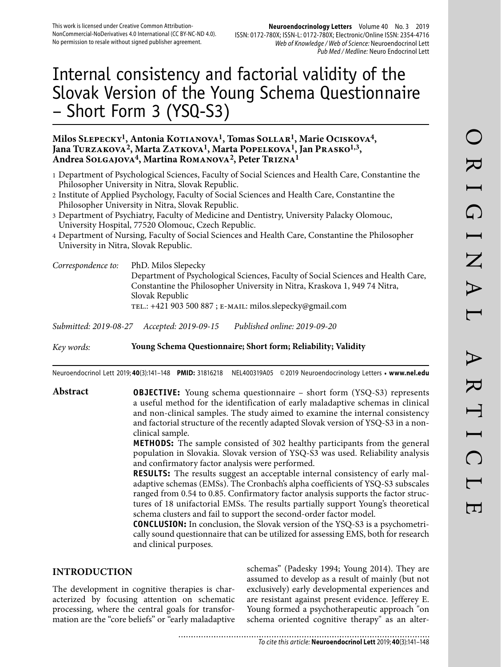# Internal consistency and factorial validity of the Slovak Version of the Young Schema Questionnaire – Short Form 3 (YSQ-S3)

# Milos SLEPECKY<sup>1</sup>, Antonia KOTIANOVA<sup>1</sup>, Tomas SOLLAR<sup>1</sup>, Marie OCISKOVA<sup>4</sup>, Jana Turzakova<sup>2</sup>, Marta Zatkova<sup>1</sup>, Marta Popelkova<sup>1</sup>, Jan Prasko<sup>1,3</sup>, **Andrea Solgajova4, Martina Romanova2, Peter Trizna1**

- 1 Department of Psychological Sciences, Faculty of Social Sciences and Health Care, Constantine the Philosopher University in Nitra, Slovak Republic.
- 2 Institute of Applied Psychology, Faculty of Social Sciences and Health Care, Constantine the Philosopher University in Nitra, Slovak Republic.
- 3 Department of Psychiatry, Faculty of Medicine and Dentistry, University Palacky Olomouc, University Hospital, 77520 Olomouc, Czech Republic.
- 4 Department of Nursing, Faculty of Social Sciences and Health Care, Constantine the Philosopher University in Nitra, Slovak Republic.

*Correspondence to:* PhD. Milos Slepecky Department of Psychological Sciences, Faculty of Social Sciences and Health Care, Constantine the Philosopher University in Nitra, Kraskova 1, 949 74 Nitra, Slovak Republic TEL.: +421 903 500 887 ; E-MAIL: milos.slepecky@gmail.com

*Submitted: 2019-08-27 Accepted: 2019-09-15 Published online: 2019-09-20*

*Key words:* **Young Schema Questionnaire; Short form; Reliability; Validity** 

Neuroendocrinol Lett 2019; **40**(3):141–148 **PMID:** 31816218 NEL400319A05 © 2019 Neuroendocrinology Letters • **www.nel.edu**

**Abstract OBJECTIVE:** Young schema questionnaire – short form (YSQ-S3) represents a useful method for the identification of early maladaptive schemas in clinical and non-clinical samples. The study aimed to examine the internal consistency and factorial structure of the recently adapted Slovak version of YSQ-S3 in a nonclinical sample.

> **METHODS:** The sample consisted of 302 healthy participants from the general population in Slovakia. Slovak version of YSQ-S3 was used. Reliability analysis and confirmatory factor analysis were performed.

> **RESULTS:** The results suggest an acceptable internal consistency of early maladaptive schemas (EMSs). The Cronbach's alpha coefficients of YSQ-S3 subscales ranged from 0.54 to 0.85. Confirmatory factor analysis supports the factor structures of 18 unifactorial EMSs. The results partially support Young's theoretical schema clusters and fail to support the second-order factor model.

> **CONCLUSION:** In conclusion, the Slovak version of the YSQ-S3 is a psychometrically sound questionnaire that can be utilized for assessing EMS, both for research and clinical purposes.

# **INTRODUCTION**

The development in cognitive therapies is characterized by focusing attention on schematic processing, where the central goals for transformation are the "core beliefs" or "early maladaptive

schemas" (Padesky 1994; Young 2014). They are assumed to develop as a result of mainly (but not exclusively) early developmental experiences and are resistant against present evidence. Jefferey E. Young formed a psychotherapeutic approach "on schema oriented cognitive therapy" as an alter-

...........................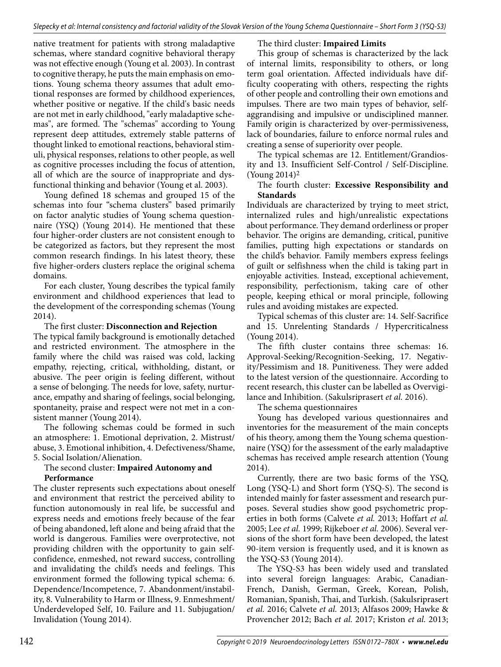native treatment for patients with strong maladaptive schemas, where standard cognitive behavioral therapy was not effective enough (Young et al. 2003). In contrast to cognitive therapy, he puts the main emphasis on emotions. Young schema theory assumes that adult emotional responses are formed by childhood experiences, whether positive or negative. If the child's basic needs are not met in early childhood, "early maladaptive schemas", are formed. The "schemas" according to Young represent deep attitudes, extremely stable patterns of thought linked to emotional reactions, behavioral stimuli, physical responses, relations to other people, as well as cognitive processes including the focus of attention, all of which are the source of inappropriate and dysfunctional thinking and behavior (Young et al. 2003).

Young defined 18 schemas and grouped 15 of the schemas into four "schema clusters" based primarily on factor analytic studies of Young schema questionnaire (YSQ) (Young 2014). He mentioned that these four higher-order clusters are not consistent enough to be categorized as factors, but they represent the most common research findings. In his latest theory, these five higher-orders clusters replace the original schema domains.

For each cluster, Young describes the typical family environment and childhood experiences that lead to the development of the corresponding schemas (Young 2014).

The first cluster: **Disconnection and Rejection** The typical family background is emotionally detached and restricted environment. The atmosphere in the family where the child was raised was cold, lacking empathy, rejecting, critical, withholding, distant, or abusive. The peer origin is feeling different, without a sense of belonging. The needs for love, safety, nurturance, empathy and sharing of feelings, social belonging, spontaneity, praise and respect were not met in a consistent manner (Young 2014).

The following schemas could be formed in such an atmosphere: 1. Emotional deprivation, 2. Mistrust/ abuse, 3. Emotional inhibition, 4. Defectiveness/Shame, 5. Social Isolation/Alienation.

#### The second cluster: **Impaired Autonomy and Performance**

The cluster represents such expectations about oneself and environment that restrict the perceived ability to function autonomously in real life, be successful and express needs and emotions freely because of the fear of being abandoned, left alone and being afraid that the world is dangerous. Families were overprotective, not providing children with the opportunity to gain selfconfidence, enmeshed, not reward success, controlling and invalidating the child's needs and feelings. This environment formed the following typical schema: 6. Dependence/Incompetence, 7. Abandonment/instability, 8. Vulnerability to Harm or Illness, 9. Enmeshment/ Underdeveloped Self, 10. Failure and 11. Subjugation/ Invalidation (Young 2014).

The third cluster: **Impaired Limits**

This group of schemas is characterized by the lack of internal limits, responsibility to others, or long term goal orientation. Affected individuals have difficulty cooperating with others, respecting the rights of other people and controlling their own emotions and impulses. There are two main types of behavior, selfaggrandising and impulsive or undisciplined manner. Family origin is characterized by over-permissiveness, lack of boundaries, failure to enforce normal rules and creating a sense of superiority over people.

The typical schemas are 12. Entitlement/Grandiosity and 13. Insufficient Self-Control / Self-Discipline. (Young 2014)2

## The fourth cluster: **Excessive Responsibility and Standards**

Individuals are characterized by trying to meet strict, internalized rules and high/unrealistic expectations about performance. They demand orderliness or proper behavior. The origins are demanding, critical, punitive families, putting high expectations or standards on the child's behavior. Family members express feelings of guilt or selfishness when the child is taking part in enjoyable activities. Instead, exceptional achievement, responsibility, perfectionism, taking care of other people, keeping ethical or moral principle, following rules and avoiding mistakes are expected.

Typical schemas of this cluster are: 14. Self-Sacrifice and 15. Unrelenting Standards / Hypercriticalness (Young 2014).

The fifth cluster contains three schemas: 16. Approval-Seeking/Recognition-Seeking, 17. Negativity/Pessimism and 18. Punitiveness. They were added to the latest version of the questionnaire. According to recent research, this cluster can be labelled as Overvigilance and Inhibition. (Sakulsriprasert *et al.* 2016).

The schema questionnaires

Young has developed various questionnaires and inventories for the measurement of the main concepts of his theory, among them the Young schema questionnaire (YSQ) for the assessment of the early maladaptive schemas has received ample research attention (Young 2014).

Currently, there are two basic forms of the YSQ, Long (YSQ-L) and Short form (YSQ-S). The second is intended mainly for faster assessment and research purposes. Several studies show good psychometric properties in both forms (Calvete *et al.* 2013; Hoffart *et al.* 2005; Lee *et al.* 1999; Rijkeboer *et al.* 2006). Several versions of the short form have been developed, the latest 90-item version is frequently used, and it is known as the YSQ-S3 (Young 2014).

The YSQ-S3 has been widely used and translated into several foreign languages: Arabic, Canadian-French, Danish, German, Greek, Korean, Polish, Romanian, Spanish, Thai, and Turkish. (Sakulsriprasert *et al.* 2016; Calvete *et al.* 2013; Alfasos 2009; Hawke & Provencher 2012; Bach *et al.* 2017; Kriston *et al.* 2013;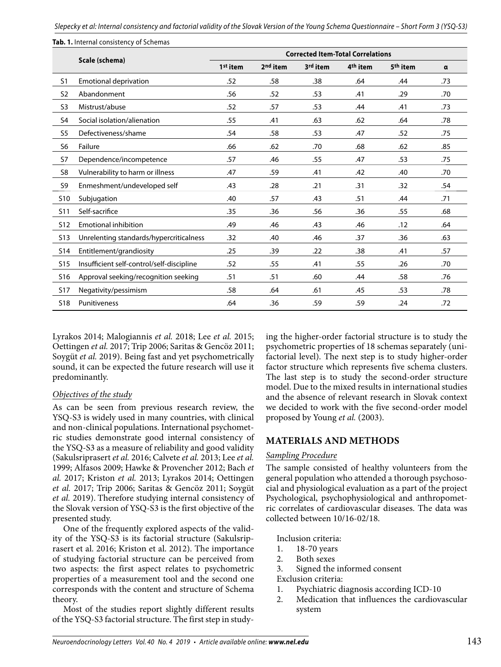Slepecky et al: Internal consistency and factorial validity of the Slovak Version of the Young Schema Questionnaire – Short Form 3 (YSQ-S3)

|                |                                           | <b>Corrected Item-Total Correlations</b> |                      |          |                      |                      |          |  |  |  |  |
|----------------|-------------------------------------------|------------------------------------------|----------------------|----------|----------------------|----------------------|----------|--|--|--|--|
|                | Scale (schema)                            | 1 <sup>st</sup> item                     | 2 <sup>nd</sup> item | 3rd item | 4 <sup>th</sup> item | 5 <sup>th</sup> item | $\alpha$ |  |  |  |  |
| S <sub>1</sub> | <b>Emotional deprivation</b>              | .52                                      | .58                  | .38      | .64                  | .44                  | .73      |  |  |  |  |
| S <sub>2</sub> | Abandonment                               | .56                                      | .52                  | .53      | .41                  | .29                  | .70      |  |  |  |  |
| S <sub>3</sub> | Mistrust/abuse                            | .52                                      | .57                  | .53      | .44                  | .41                  | .73      |  |  |  |  |
| S4             | Social isolation/alienation               | .55                                      | .41                  | .63      | .62                  | .64                  | .78      |  |  |  |  |
| S <sub>5</sub> | Defectiveness/shame                       | .54                                      | .58                  | .53      | .47                  | .52                  | .75      |  |  |  |  |
| S <sub>6</sub> | Failure                                   | .66                                      | .62                  | .70      | .68                  | .62                  | .85      |  |  |  |  |
| S7             | Dependence/incompetence                   | .57                                      | .46                  | .55      | .47                  | .53                  | .75      |  |  |  |  |
| S8             | Vulnerability to harm or illness          | .47                                      | .59                  | .41      | .42                  | .40                  | .70      |  |  |  |  |
| S9             | Enmeshment/undeveloped self               | .43                                      | .28                  | .21      | .31                  | .32                  | .54      |  |  |  |  |
| <b>S10</b>     | Subjugation                               | .40                                      | .57                  | .43      | .51                  | .44                  | .71      |  |  |  |  |
| <b>S11</b>     | Self-sacrifice                            | .35                                      | .36                  | .56      | .36                  | .55                  | .68      |  |  |  |  |
| <b>S12</b>     | <b>Emotional inhibition</b>               | .49                                      | .46                  | .43      | .46                  | .12                  | .64      |  |  |  |  |
| <b>S13</b>     | Unrelenting standards/hypercriticalness   | .32                                      | .40                  | .46      | .37                  | .36                  | .63      |  |  |  |  |
| <b>S14</b>     | Entitlement/grandiosity                   | .25                                      | .39                  | .22      | .38                  | .41                  | .57      |  |  |  |  |
| <b>S15</b>     | Insufficient self-control/self-discipline | .52                                      | .55                  | .41      | .55                  | .26                  | .70      |  |  |  |  |
| <b>S16</b>     | Approval seeking/recognition seeking      | .51                                      | .51                  | .60      | .44                  | .58                  | .76      |  |  |  |  |
| <b>S17</b>     | Negativity/pessimism                      | .58                                      | .64                  | .61      | .45                  | .53                  | .78      |  |  |  |  |
| <b>S18</b>     | Punitiveness                              | .64                                      | .36                  | .59      | .59                  | .24                  | .72      |  |  |  |  |

Tab. 1. Internal consistency of Schemas

Lyrakos 2014; Malogiannis *et al.* 2018; Lee *et al.* 2015; Oettingen *et al.* 2017; Trip 2006; Saritas & Gencöz 2011; Soygüt *et al.* 2019). Being fast and yet psychometrically sound, it can be expected the future research will use it predominantly.

# *Objectives of the study*

As can be seen from previous research review, the YSQ-S3 is widely used in many countries, with clinical and non-clinical populations. International psychometric studies demonstrate good internal consistency of the YSQ-S3 as a measure of reliability and good validity (Sakulsriprasert *et al.* 2016; Calvete *et al.* 2013; Lee *et al.* 1999; Alfasos 2009; Hawke & Provencher 2012; Bach *et al.* 2017; Kriston *et al.* 2013; Lyrakos 2014; Oettingen *et al.* 2017; Trip 2006; Saritas & Gencöz 2011; Soygüt *et al.* 2019). Therefore studying internal consistency of the Slovak version of YSQ-S3 is the first objective of the presented study.

One of the frequently explored aspects of the validity of the YSQ-S3 is its factorial structure (Sakulsriprasert et al. 2016; Kriston et al. 2012). The importance of studying factorial structure can be perceived from two aspects: the first aspect relates to psychometric properties of a measurement tool and the second one corresponds with the content and structure of Schema theory.

Most of the studies report slightly different results of the YSQ-S3 factorial structure. The first step in studying the higher-order factorial structure is to study the psychometric properties of 18 schemas separately (unifactorial level). The next step is to study higher-order factor structure which represents five schema clusters. The last step is to study the second-order structure model. Due to the mixed results in international studies and the absence of relevant research in Slovak context we decided to work with the five second-order model proposed by Young *et al.* (2003).

# **MATERIALS AND METHODS**

# *Sampling Procedure*

The sample consisted of healthy volunteers from the general population who attended a thorough psychosocial and physiological evaluation as a part of the project Psychological, psychophysiological and anthropometric correlates of cardiovascular diseases. The data was collected between 10/16-02/18.

Inclusion criteria:

- 1. 18-70 years
- 2. Both sexes
- 3. Signed the informed consent
- Exclusion criteria:
- 1. Psychiatric diagnosis according ICD-10
- 2. Medication that influences the cardiovascular system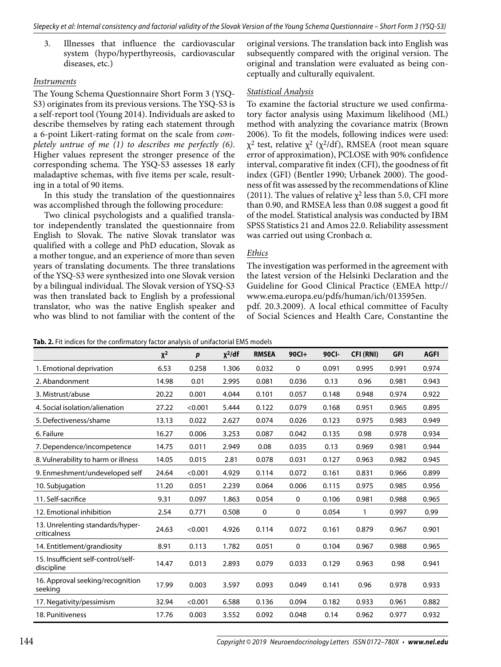3. Illnesses that influence the cardiovascular system (hypo/hyperthyreosis, cardiovascular diseases, etc.)

#### *Instruments*

The Young Schema Questionnaire Short Form 3 (YSQ-S3) originates from its previous versions. The YSQ-S3 is a self-report tool (Young 2014). Individuals are asked to describe themselves by rating each statement through a 6-point Likert-rating format on the scale from *completely untrue of me (1) to describes me perfectly (6)*. Higher values represent the stronger presence of the corresponding schema. The YSQ-S3 assesses 18 early maladaptive schemas, with five items per scale, resulting in a total of 90 items.

In this study the translation of the questionnaires was accomplished through the following procedure:

Two clinical psychologists and a qualified translator independently translated the questionnaire from English to Slovak. The native Slovak translator was qualified with a college and PhD education, Slovak as a mother tongue, and an experience of more than seven years of translating documents. The three translations of the YSQ-S3 were synthesized into one Slovak version by a bilingual individual. The Slovak version of YSQ-S3 was then translated back to English by a professional translator, who was the native English speaker and who was blind to not familiar with the content of the original versions. The translation back into English was subsequently compared with the original version. The original and translation were evaluated as being conceptually and culturally equivalent.

## *Statistical Analysis*

To examine the factorial structure we used confirmatory factor analysis using Maximum likelihood (ML) method with analyzing the covariance matrix (Brown 2006). To fit the models, following indices were used:  $χ²$  test, relative  $χ²$  ( $χ²/df$ ), RMSEA (root mean square error of approximation), PCLOSE with 90% confidence interval, comparative fit index (CFI), the goodness of fit index (GFI) (Bentler 1990; Urbanek 2000). The goodness of fit was assessed by the recommendations of Kline (2011). The values of relative  $\chi^2$  less than 5.0, CFI more than 0.90, and RMSEA less than 0.08 suggest a good fit of the model. Statistical analysis was conducted by IBM SPSS Statistics 21 and Amos 22.0. Reliability assessment was carried out using Cronbach α.

# *Ethics*

The investigation was performed in the agreement with the latest version of the Helsinki Declaration and the Guideline for Good Clinical Practice (EMEA http:// www.ema.europa.eu/pdfs/human/ich/013595en.

pdf. 20.3.2009). A local ethical committee of Faculty of Social Sciences and Health Care, Constantine the

| <b>Tab. 2.</b> FIL indices for the confirmatory factor analysis of unifactorial Eivis models |          |         |              |              |             |       |                  |            |             |  |
|----------------------------------------------------------------------------------------------|----------|---------|--------------|--------------|-------------|-------|------------------|------------|-------------|--|
|                                                                                              | $\chi^2$ | p       | $\chi^2$ /df | <b>RMSEA</b> | $90C$ I+    | 90CI- | <b>CFI (RNI)</b> | <b>GFI</b> | <b>AGFI</b> |  |
| 1. Emotional deprivation                                                                     | 6.53     | 0.258   | 1.306        | 0.032        | 0           | 0.091 | 0.995            | 0.991      | 0.974       |  |
| 2. Abandonment                                                                               | 14.98    | 0.01    | 2.995        | 0.081        | 0.036       | 0.13  | 0.96             | 0.981      | 0.943       |  |
| 3. Mistrust/abuse                                                                            | 20.22    | 0.001   | 4.044        | 0.101        | 0.057       | 0.148 | 0.948            | 0.974      | 0.922       |  |
| 4. Social isolation/alienation                                                               | 27.22    | < 0.001 | 5.444        | 0.122        | 0.079       | 0.168 | 0.951            | 0.965      | 0.895       |  |
| 5. Defectiveness/shame                                                                       | 13.13    | 0.022   | 2.627        | 0.074        | 0.026       | 0.123 | 0.975            | 0.983      | 0.949       |  |
| 6. Failure                                                                                   | 16.27    | 0.006   | 3.253        | 0.087        | 0.042       | 0.135 | 0.98             | 0.978      | 0.934       |  |
| 7. Dependence/incompetence                                                                   | 14.75    | 0.011   | 2.949        | 0.08         | 0.035       | 0.13  | 0.969            | 0.981      | 0.944       |  |
| 8. Vulnerability to harm or illness                                                          | 14.05    | 0.015   | 2.81         | 0.078        | 0.031       | 0.127 | 0.963            | 0.982      | 0.945       |  |
| 9. Enmeshment/undeveloped self                                                               | 24.64    | < 0.001 | 4.929        | 0.114        | 0.072       | 0.161 | 0.831            | 0.966      | 0.899       |  |
| 10. Subjugation                                                                              | 11.20    | 0.051   | 2.239        | 0.064        | 0.006       | 0.115 | 0.975            | 0.985      | 0.956       |  |
| 11. Self-sacrifice                                                                           | 9.31     | 0.097   | 1.863        | 0.054        | $\mathbf 0$ | 0.106 | 0.981            | 0.988      | 0.965       |  |
| 12. Emotional inhibition                                                                     | 2.54     | 0.771   | 0.508        | 0            | 0           | 0.054 | 1                | 0.997      | 0.99        |  |
| 13. Unrelenting standards/hyper-<br>criticalness                                             | 24.63    | < 0.001 | 4.926        | 0.114        | 0.072       | 0.161 | 0.879            | 0.967      | 0.901       |  |
| 14. Entitlement/grandiosity                                                                  | 8.91     | 0.113   | 1.782        | 0.051        | 0           | 0.104 | 0.967            | 0.988      | 0.965       |  |
| 15. Insufficient self-control/self-<br>discipline                                            | 14.47    | 0.013   | 2.893        | 0.079        | 0.033       | 0.129 | 0.963            | 0.98       | 0.941       |  |
| 16. Approval seeking/recognition<br>seeking                                                  | 17.99    | 0.003   | 3.597        | 0.093        | 0.049       | 0.141 | 0.96             | 0.978      | 0.933       |  |
| 17. Negativity/pessimism                                                                     | 32.94    | < 0.001 | 6.588        | 0.136        | 0.094       | 0.182 | 0.933            | 0.961      | 0.882       |  |
| 18. Punitiveness                                                                             | 17.76    | 0.003   | 3.552        | 0.092        | 0.048       | 0.14  | 0.962            | 0.977      | 0.932       |  |

**Tab. 2.** Fit indices for the confirmatory factor analysis of unifactorial EMS models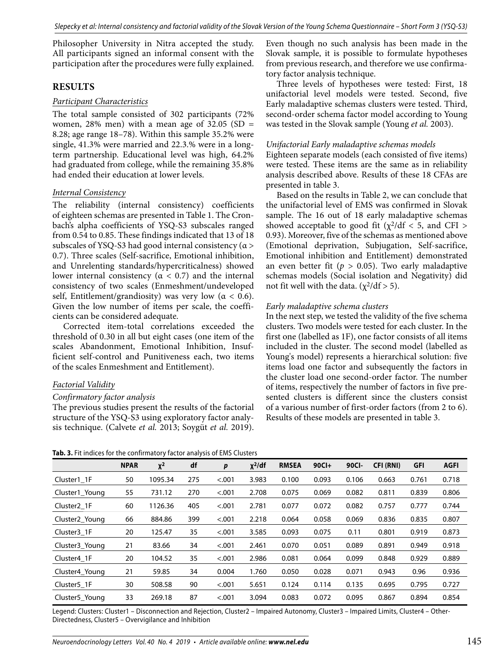Philosopher University in Nitra accepted the study. All participants signed an informal consent with the participation after the procedures were fully explained.

# **RESULTS**

#### *Participant Characteristics*

The total sample consisted of 302 participants (72% women, 28% men) with a mean age of 32.05 (SD = 8.28; age range 18–78). Within this sample 35.2% were single, 41.3% were married and 22.3.% were in a longterm partnership. Educational level was high, 64.2% had graduated from college, while the remaining 35.8% had ended their education at lower levels.

#### *Internal Consistency*

The reliability (internal consistency) coefficients of eighteen schemas are presented in Table 1. The Cronbach's alpha coefficients of YSQ-S3 subscales ranged from 0.54 to 0.85. These findings indicated that 13 of 18 subscales of YSQ-S3 had good internal consistency (α > 0.7). Three scales (Self-sacrifice, Emotional inhibition, and Unrelenting standards/hypercriticalness) showed lower internal consistency ( $\alpha$  < 0.7) and the internal consistency of two scales (Enmeshment/undeveloped self, Entitlement/grandiosity) was very low ( $\alpha$  < 0.6). Given the low number of items per scale, the coefficients can be considered adequate.

Corrected item-total correlations exceeded the threshold of 0.30 in all but eight cases (one item of the scales Abandonment, Emotional Inhibition, Insufficient self-control and Punitiveness each, two items of the scales Enmeshment and Entitlement).

# *Factorial Validity*

#### *Confirmatory factor analysis*

The previous studies present the results of the factorial structure of the YSQ-S3 using exploratory factor analysis technique. (Calvete *et al.* 2013; Soygüt *et al.* 2019). Even though no such analysis has been made in the Slovak sample, it is possible to formulate hypotheses from previous research, and therefore we use confirmatory factor analysis technique.

Three levels of hypotheses were tested: First, 18 unifactorial level models were tested. Second, five Early maladaptive schemas clusters were tested. Third, second-order schema factor model according to Young was tested in the Slovak sample (Young *et al.* 2003).

#### *Unifactorial Early maladaptive schemas models*

Eighteen separate models (each consisted of five items) were tested. These items are the same as in reliability analysis described above. Results of these 18 CFAs are presented in table 3.

Based on the results in Table 2, we can conclude that the unifactorial level of EMS was confirmed in Slovak sample. The 16 out of 18 early maladaptive schemas showed acceptable to good fit  $(\chi^2/df < 5$ , and CFI > 0.93). Moreover, five of the schemas as mentioned above (Emotional deprivation, Subjugation, Self-sacrifice, Emotional inhibition and Entitlement) demonstrated an even better fit ( $p > 0.05$ ). Two early maladaptive schemas models (Social isolation and Negativity) did not fit well with the data.  $(\chi^2/\text{d}f > 5)$ .

#### *Early maladaptive schema clusters*

In the next step, we tested the validity of the five schema clusters. Two models were tested for each cluster. In the first one (labelled as 1F), one factor consists of all items included in the cluster. The second model (labelled as Young's model) represents a hierarchical solution: five items load one factor and subsequently the factors in the cluster load one second-order factor. The number of items, respectively the number of factors in five presented clusters is different since the clusters consist of a various number of first-order factors (from 2 to 6). Results of these models are presented in table 3.

|                            | <b>NPAR</b> | $X^2$   | df  | p      | $\chi^2$ /df | <b>RMSEA</b> | $90C1+$ | 90Cl- | CFI (RNI) | <b>GFI</b> | <b>AGFI</b> |
|----------------------------|-------------|---------|-----|--------|--------------|--------------|---------|-------|-----------|------------|-------------|
| Cluster1 1F                | 50          | 1095.34 | 275 | < .001 | 3.983        | 0.100        | 0.093   | 0.106 | 0.663     | 0.761      | 0.718       |
| Cluster1 Young             | 55          | 731.12  | 270 | < .001 | 2.708        | 0.075        | 0.069   | 0.082 | 0.811     | 0.839      | 0.806       |
| Cluster <sub>2</sub> 1F    | 60          | 1126.36 | 405 | < .001 | 2.781        | 0.077        | 0.072   | 0.082 | 0.757     | 0.777      | 0.744       |
| Cluster <sub>2</sub> Young | 66          | 884.86  | 399 | < .001 | 2.218        | 0.064        | 0.058   | 0.069 | 0.836     | 0.835      | 0.807       |
| Cluster <sub>3</sub> 1F    | 20          | 125.47  | 35  | < .001 | 3.585        | 0.093        | 0.075   | 0.11  | 0.801     | 0.919      | 0.873       |
| Cluster3 Young             | 21          | 83.66   | 34  | < .001 | 2.461        | 0.070        | 0.051   | 0.089 | 0.891     | 0.949      | 0.918       |
| Cluster4 1F                | 20          | 104.52  | 35  | < .001 | 2.986        | 0.081        | 0.064   | 0.099 | 0.848     | 0.929      | 0.889       |
| Cluster4 Young             | 21          | 59.85   | 34  | 0.004  | 1.760        | 0.050        | 0.028   | 0.071 | 0.943     | 0.96       | 0.936       |
| Cluster <sub>5</sub> 1F    | 30          | 508.58  | 90  | < .001 | 5.651        | 0.124        | 0.114   | 0.135 | 0.695     | 0.795      | 0.727       |
| Cluster5_Young             | 33          | 269.18  | 87  | < .001 | 3.094        | 0.083        | 0.072   | 0.095 | 0.867     | 0.894      | 0.854       |

Legend: Clusters: Cluster1 – Disconnection and Rejection, Cluster2 – Impaired Autonomy, Cluster3 – Impaired Limits, Cluster4 – Other-Directedness, Cluster5 – Overvigilance and Inhibition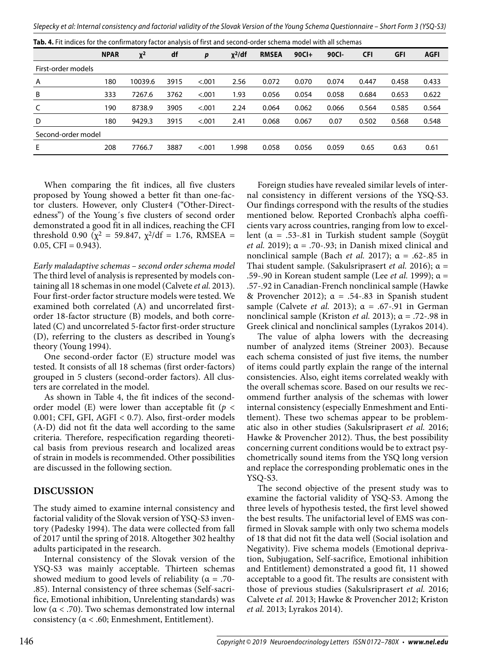|                    | <b>NPAR</b> | $x^2$   | df   | p      | $\chi^2$ /df | <b>RMSEA</b> | $90C1+$ | 90Cl- | <b>CFI</b> | <b>GFI</b> | <b>AGFI</b> |  |
|--------------------|-------------|---------|------|--------|--------------|--------------|---------|-------|------------|------------|-------------|--|
| First-order models |             |         |      |        |              |              |         |       |            |            |             |  |
| Α                  | 180         | 10039.6 | 3915 | < .001 | 2.56         | 0.072        | 0.070   | 0.074 | 0.447      | 0.458      | 0.433       |  |
| B                  | 333         | 7267.6  | 3762 | < .001 | 1.93         | 0.056        | 0.054   | 0.058 | 0.684      | 0.653      | 0.622       |  |
| C                  | 190         | 8738.9  | 3905 | < .001 | 2.24         | 0.064        | 0.062   | 0.066 | 0.564      | 0.585      | 0.564       |  |
| D                  | 180         | 9429.3  | 3915 | < .001 | 2.41         | 0.068        | 0.067   | 0.07  | 0.502      | 0.568      | 0.548       |  |
| Second-order model |             |         |      |        |              |              |         |       |            |            |             |  |
| E                  | 208         | 7766.7  | 3887 | < .001 | 1.998        | 0.058        | 0.056   | 0.059 | 0.65       | 0.63       | 0.61        |  |
|                    |             |         |      |        |              |              |         |       |            |            |             |  |

When comparing the fit indices, all five clusters proposed by Young showed a better fit than one-factor clusters. However, only Cluster4 ("Other-Directedness") of the Young´s five clusters of second order demonstrated a good fit in all indices, reaching the CFI threshold 0.90 ( $\chi^2$  = 59.847,  $\chi^2/df$  = 1.76, RMSEA =  $0.05$ , CFI =  $0.943$ ).

*Early maladaptive schemas – second order schema model*  The third level of analysis is represented by models containing all 18 schemas in one model (Calvete *et al.* 2013). Four first-order factor structure models were tested. We examined both correlated (A) and uncorrelated firstorder 18-factor structure (B) models, and both correlated (C) and uncorrelated 5-factor first-order structure (D), referring to the clusters as described in Young's theory (Young 1994).

One second-order factor (E) structure model was tested. It consists of all 18 schemas (first order-factors) grouped in 5 clusters (second-order factors). All clusters are correlated in the model.

As shown in Table 4, the fit indices of the secondorder model (E) were lower than acceptable fit ( $p <$ 0.001; CFI, GFI, AGFI < 0.7). Also, first-order models (A-D) did not fit the data well according to the same criteria. Therefore, respecification regarding theoretical basis from previous research and localized areas of strain in models is recommended. Other possibilities are discussed in the following section.

#### **DISCUSSION**

The study aimed to examine internal consistency and factorial validity of the Slovak version of YSQ-S3 inventory (Padesky 1994). The data were collected from fall of 2017 until the spring of 2018. Altogether 302 healthy adults participated in the research.

Internal consistency of the Slovak version of the YSQ-S3 was mainly acceptable. Thirteen schemas showed medium to good levels of reliability ( $\alpha = .70$ -.85). Internal consistency of three schemas (Self-sacrifice, Emotional inhibition, Unrelenting standards) was low ( $α < .70$ ). Two schemas demonstrated low internal consistency ( $\alpha$  < .60; Enmeshment, Entitlement).

Foreign studies have revealed similar levels of internal consistency in different versions of the YSQ-S3. Our findings correspond with the results of the studies mentioned below. Reported Cronbach's alpha coefficients vary across countries, ranging from low to excellent ( $\alpha = .53-.81$  in Turkish student sample (Soygüt *et al.* 2019);  $\alpha$  = .70-.93; in Danish mixed clinical and nonclinical sample (Bach *et al.* 2017);  $\alpha = .62-.85$  in Thai student sample. (Sakulsriprasert *et al.* 2016); α = .59-.90 in Korean student sample (Lee *et al.* 1999); α = .57-.92 in Canadian-French nonclinical sample (Hawke & Provencher 2012);  $\alpha = .54-.83$  in Spanish student sample (Calvete *et al.* 2013);  $\alpha = .67-.91$  in German nonclinical sample (Kriston *et al.* 2013); α = .72-.98 in Greek clinical and nonclinical samples (Lyrakos 2014).

The value of alpha lowers with the decreasing number of analyzed items (Streiner 2003). Because each schema consisted of just five items, the number of items could partly explain the range of the internal consistencies. Also, eight items correlated weakly with the overall schemas score. Based on our results we recommend further analysis of the schemas with lower internal consistency (especially Enmeshment and Entitlement). These two schemas appear to be problematic also in other studies (Sakulsriprasert *et al.* 2016; Hawke & Provencher 2012). Thus, the best possibility concerning current conditions would be to extract psychometrically sound items from the YSQ long version and replace the corresponding problematic ones in the YSQ-S3.

The second objective of the present study was to examine the factorial validity of YSQ-S3. Among the three levels of hypothesis tested, the first level showed the best results. The unifactorial level of EMS was confirmed in Slovak sample with only two schema models of 18 that did not fit the data well (Social isolation and Negativity). Five schema models (Emotional deprivation, Subjugation, Self-sacrifice, Emotional inhibition and Entitlement) demonstrated a good fit, 11 showed acceptable to a good fit. The results are consistent with those of previous studies (Sakulsriprasert *et al.* 2016; Calvete *et al.* 2013; Hawke & Provencher 2012; Kriston *et al.* 2013; Lyrakos 2014).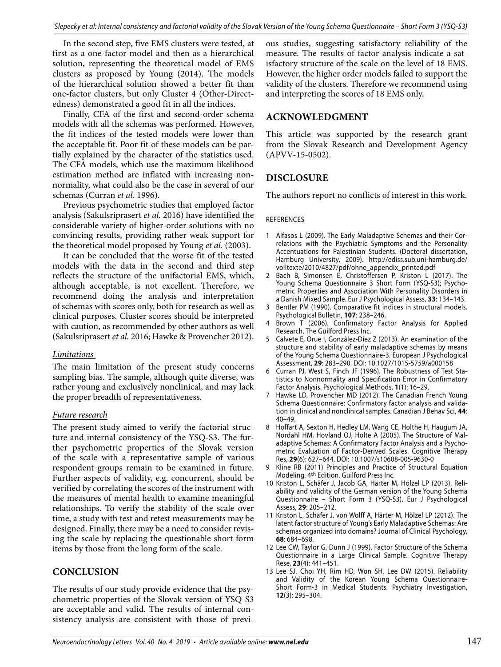In the second step, five EMS clusters were tested, at first as a one-factor model and then as a hierarchical solution, representing the theoretical model of EMS clusters as proposed by Young (2014). The models of the hierarchical solution showed a better fit than one-factor clusters, but only Cluster 4 (Other-Directedness) demonstrated a good fit in all the indices.

Finally, CFA of the first and second-order schema models with all the schemas was performed. However, the fit indices of the tested models were lower than the acceptable fit. Poor fit of these models can be partially explained by the character of the statistics used. The CFA models, which use the maximum likelihood estimation method are inflated with increasing nonnormality, what could also be the case in several of our schemas (Curran *et al.* 1996).

Previous psychometric studies that employed factor analysis (Sakulsriprasert *et al.* 2016) have identified the considerable variety of higher-order solutions with no convincing results, providing rather weak support for the theoretical model proposed by Young *et al.* (2003).

It can be concluded that the worse fit of the tested models with the data in the second and third step reflects the structure of the unifactorial EMS, which, although acceptable, is not excellent. Therefore, we recommend doing the analysis and interpretation of schemas with scores only, both for research as well as clinical purposes. Cluster scores should be interpreted with caution, as recommended by other authors as well (Sakulsriprasert *et al.* 2016; Hawke & Provencher 2012).

#### *Limitations*

The main limitation of the present study concerns sampling bias. The sample, although quite diverse, was rather young and exclusively nonclinical, and may lack the proper breadth of representativeness.

# *Future research*

The present study aimed to verify the factorial structure and internal consistency of the YSQ-S3. The further psychometric properties of the Slovak version of the scale with a representative sample of various respondent groups remain to be examined in future. Further aspects of validity, e.g. concurrent, should be verified by correlating the scores of the instrument with the measures of mental health to examine meaningful relationships. To verify the stability of the scale over time, a study with test and retest measurements may be designed. Finally, there may be a need to consider revising the scale by replacing the questionable short form items by those from the long form of the scale.

# **CONCLUSION**

The results of our study provide evidence that the psychometric properties of the Slovak version of YSQ-S3 are acceptable and valid. The results of internal consistency analysis are consistent with those of previous studies, suggesting satisfactory reliability of the measure. The results of factor analysis indicate a satisfactory structure of the scale on the level of 18 EMS. However, the higher order models failed to support the validity of the clusters. Therefore we recommend using and interpreting the scores of 18 EMS only.

# **ACKNOWLEDGMENT**

This article was supported by the research grant from the Slovak Research and Development Agency (APVV-15-0502).

# **DISCLOSURE**

The authors report no conflicts of interest in this work.

#### REFERENCES

- 1 Alfasos L (2009). The Early Maladaptive Schemas and their Correlations with the Psychiatric Symptoms and the Personality Accentuations for Palestinian Students. (Doctoral dissertation, Hamburg University, 2009). http://ediss.sub.uni-hamburg.de/ volltexte/2010/4827/pdf/ohne\_appendix\_printed.pdf
- 2 Bach B, Simonsen E, Christoffersen P, Kriston L (2017). The Young Schema Questionnaire 3 Short Form (YSQ-S3); Psychometric Properties and Association With Personality Disorders in a Danish Mixed Sample. Eur J Psychological Assess, **33**: 134–143.
- 3 Bentler PM (1990). Comparative fit indices in structural models. Psychological Bulletin, **107**: 238–246.
- Brown T (2006). Confirmatory Factor Analysis for Applied Research. The Guilford Press Inc.
- 5 Calvete E, Orue I, González-Díez Z (2013). An examination of the structure and stability of early maladaptive schemas by means of the Young Schema Questionnaire-3. European J Psychological Assessment, **29**: 283–290, DOI: 10.1027/1015-5759/a000158
- 6 Curran PJ, West S, Finch JF (1996). The Robustness of Test Statistics to Nonnormality and Specification Error in Confirmatory Factor Analysis. Psychological Methods. **1**(1): 16–29.
- 7 Hawke LD, Provencher MD (2012). The Canadian French Young Schema Questionnaire: Confirmatory factor analysis and validation in clinical and nonclinical samples. Canadian J Behav Sci, **44**:  $40 - 49$ .
- 8 Hoffart A, Sexton H, Hedley LM, Wang CE, Holthe H, Haugum JA, Nordahl HM, Hovland OJ, Holte A (2005). The Structure of Maladaptive Schemas: A Confirmatory Factor Analysis and a Psychometric Evaluation of Factor-Derived Scales. Cognitive Therapy Res, **29**(6): 627–644. DOI: 10.1007/s10608-005-9630-0
- 9 Kline RB (2011) Principles and Practice of Structural Equation Modeling. 4th Edition. Guilford Press Inc.
- 10 Kriston L, Schäfer J, Jacob GA, Härter M, Hölzel LP (2013). Reliability and validity of the German version of the Young Schema Questionnaire – Short Form 3 (YSQ-S3). Eur J Psychological Assess, **29**: 205–212.
- 11 Kriston L, Schäfer J, von Wolff A, Härter M, Hölzel LP (2012). The latent factor structure of Young's Early Maladaptive Schemas: Are schemas organized into domains? Journal of Clinical Psychology, **68**: 684–698.
- 12 Lee CW, Taylor G, Dunn J (1999). Factor Structure of the Schema Questionnaire in a Large Clinical Sample. Cognitive Therapy Rese, **23**(4): 441–451.
- 13 Lee SJ, Choi YH, Rim HD, Won SH, Lee DW (2015). Reliability and Validity of the Korean Young Schema Questionnaire-Short Form-3 in Medical Students. Psychiatry Investigation, **12**(3): 295–304.